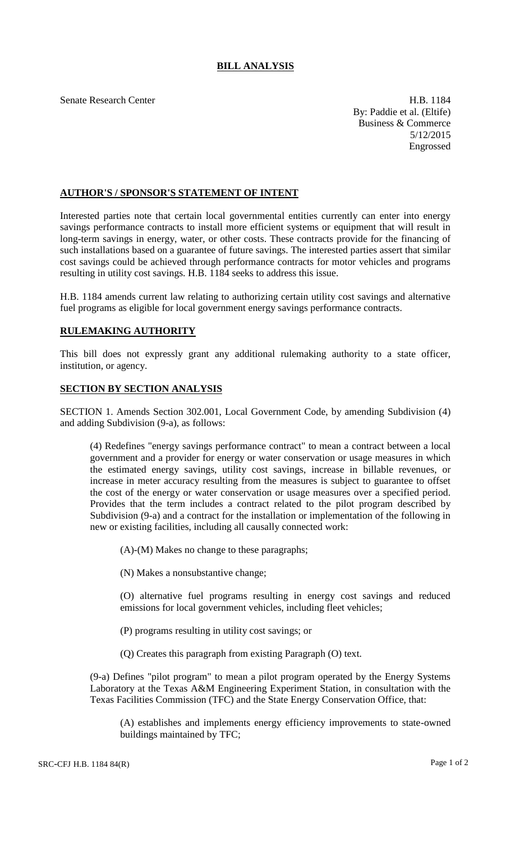## **BILL ANALYSIS**

Senate Research Center **H.B. 1184** By: Paddie et al. (Eltife) Business & Commerce 5/12/2015 Engrossed

## **AUTHOR'S / SPONSOR'S STATEMENT OF INTENT**

Interested parties note that certain local governmental entities currently can enter into energy savings performance contracts to install more efficient systems or equipment that will result in long-term savings in energy, water, or other costs. These contracts provide for the financing of such installations based on a guarantee of future savings. The interested parties assert that similar cost savings could be achieved through performance contracts for motor vehicles and programs resulting in utility cost savings. H.B. 1184 seeks to address this issue.

H.B. 1184 amends current law relating to authorizing certain utility cost savings and alternative fuel programs as eligible for local government energy savings performance contracts.

## **RULEMAKING AUTHORITY**

This bill does not expressly grant any additional rulemaking authority to a state officer, institution, or agency.

## **SECTION BY SECTION ANALYSIS**

SECTION 1. Amends Section 302.001, Local Government Code, by amending Subdivision (4) and adding Subdivision (9-a), as follows:

(4) Redefines "energy savings performance contract" to mean a contract between a local government and a provider for energy or water conservation or usage measures in which the estimated energy savings, utility cost savings, increase in billable revenues, or increase in meter accuracy resulting from the measures is subject to guarantee to offset the cost of the energy or water conservation or usage measures over a specified period. Provides that the term includes a contract related to the pilot program described by Subdivision (9-a) and a contract for the installation or implementation of the following in new or existing facilities, including all causally connected work:

(A)-(M) Makes no change to these paragraphs;

(N) Makes a nonsubstantive change;

(O) alternative fuel programs resulting in energy cost savings and reduced emissions for local government vehicles, including fleet vehicles;

(P) programs resulting in utility cost savings; or

(Q) Creates this paragraph from existing Paragraph (O) text.

(9-a) Defines "pilot program" to mean a pilot program operated by the Energy Systems Laboratory at the Texas A&M Engineering Experiment Station, in consultation with the Texas Facilities Commission (TFC) and the State Energy Conservation Office, that:

(A) establishes and implements energy efficiency improvements to state-owned buildings maintained by TFC;